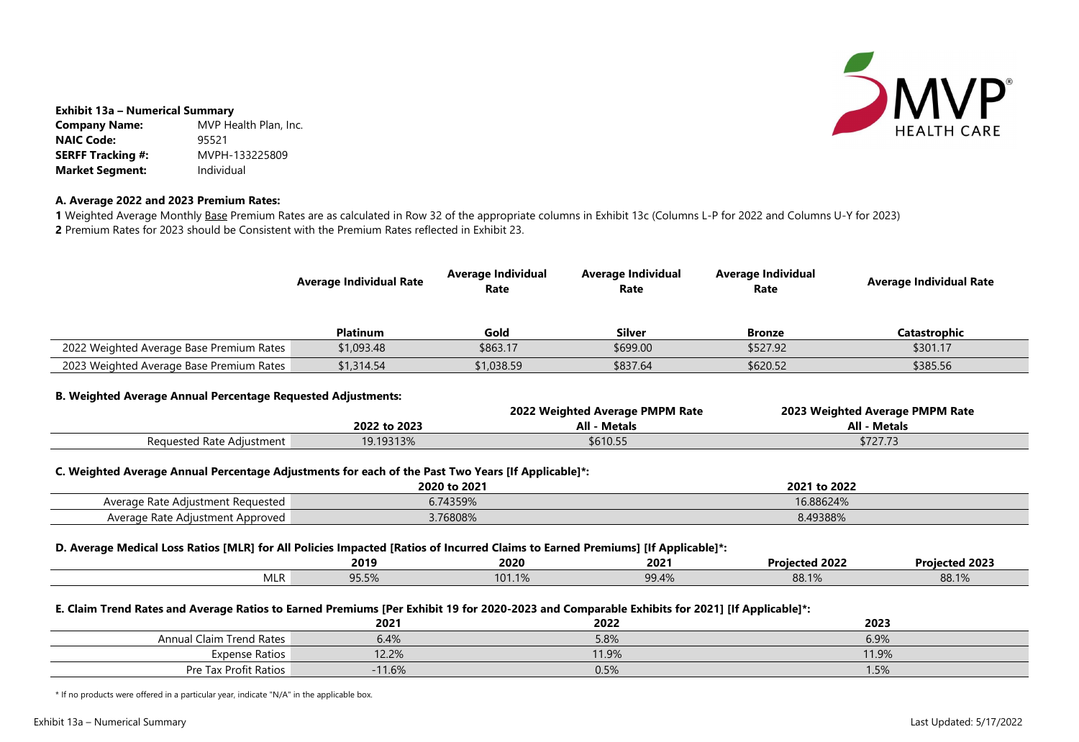

| \$301.17 |
|----------|
| \$385.56 |

## **Exhibit 13a – Numerical Summary**

**Company Name:** MVP Health Plan, Inc. **NAIC Code:** 95521 **SERFF Tracking #:** MVPH-133225809 **Market Segment:** Individual

# **A. Average 2022 and 2023 Premium Rates:**

1 Weighted Average Monthly Base Premium Rates are as calculated in Row 32 of the appropriate columns in Exhibit 13c (Columns L-P for 2022 and Columns U-Y for 2023) **2** Premium Rates for 2023 should be Consistent with the Premium Rates reflected in Exhibit 23.

|                                                                                                                                                                                                           | <b>Average Individual Rate</b>                                         | <b>Average Individual</b><br>Rate | <b>Average Individual</b><br>Rate | <b>Average Individual</b><br>Rate                      | <b>Average Individual Rate</b> |  |
|-----------------------------------------------------------------------------------------------------------------------------------------------------------------------------------------------------------|------------------------------------------------------------------------|-----------------------------------|-----------------------------------|--------------------------------------------------------|--------------------------------|--|
|                                                                                                                                                                                                           | <b>Platinum</b>                                                        | Gold                              | <b>Silver</b>                     | <b>Bronze</b>                                          | <b>Catastrophic</b>            |  |
| 2022 Weighted Average Base Premium Rates                                                                                                                                                                  | \$1,093.48                                                             | \$863.17                          | \$699.00                          | \$527.92                                               | \$301.17                       |  |
| 2023 Weighted Average Base Premium Rates                                                                                                                                                                  | \$1,314.54                                                             | \$1,038.59                        | \$837.64                          | \$620.52                                               | \$385.56                       |  |
| <b>B. Weighted Average Annual Percentage Requested Adjustments:</b>                                                                                                                                       | 2022 Weighted Average PMPM Rate<br><b>All - Metals</b><br>2022 to 2023 |                                   |                                   | 2023 Weighted Average PMPM Rate<br><b>All - Metals</b> |                                |  |
| Requested Rate Adjustment                                                                                                                                                                                 | 19.19313%                                                              | \$610.55                          |                                   | \$727.73                                               |                                |  |
| C. Weighted Average Annual Percentage Adjustments for each of the Past Two Years [If Applicable]*:<br>2020 to 2021<br>2021 to 2022                                                                        |                                                                        |                                   |                                   |                                                        |                                |  |
| Average Rate Adjustment Requested<br>Average Rate Adjustment Approved                                                                                                                                     | 6.74359%<br>3.76808%                                                   |                                   |                                   | 16.88624%<br>8.49388%                                  |                                |  |
| D. Average Medical Loss Ratios [MLR] for All Policies Impacted [Ratios of Incurred Claims to Earned Premiums] [If Applicable]*:<br>2019<br>2020<br><b>Projected 2022</b><br><b>Projected 2023</b><br>2021 |                                                                        |                                   |                                   |                                                        |                                |  |
| <b>MLR</b>                                                                                                                                                                                                | 95.5%                                                                  | 101.1%                            | 99.4%                             | 88.1%                                                  | 88.1%                          |  |
| E. Claim Trend Rates and Average Ratios to Earned Premiums [Per Exhibit 19 for 2020-2023 and Comparable Exhibits for 2021] [If Applicable]*:<br>2023<br>2021<br>2022                                      |                                                                        |                                   |                                   |                                                        |                                |  |
| <b>Annual Claim Trend Rates</b>                                                                                                                                                                           | 6.4%                                                                   |                                   | 6.9%<br>5.8%                      |                                                        |                                |  |
| <b>Expense Ratios</b><br>Pre Tax Profit Ratios                                                                                                                                                            | 12.2%<br>$-11.6%$                                                      |                                   | 11.9%<br>0.5%                     |                                                        | 11.9%<br>1.5%                  |  |
|                                                                                                                                                                                                           |                                                                        |                                   |                                   |                                                        |                                |  |

\* If no products were offered in a particular year, indicate "N/A" in the applicable box.